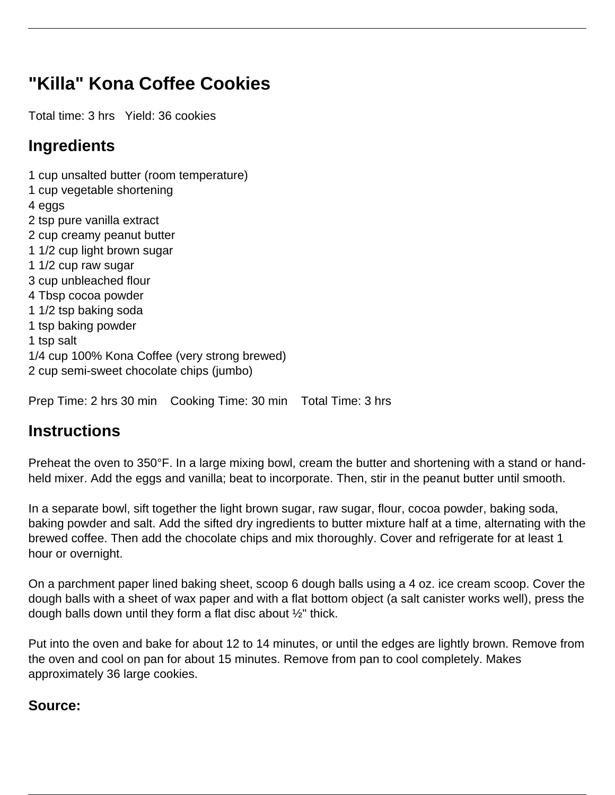## **"Killa" Kona Coffee Cookies**

Total time: 3 hrs Yield: 36 cookies

## **Ingredients**

1 cup unsalted butter (room temperature) 1 cup vegetable shortening 4 eggs 2 tsp pure vanilla extract 2 cup creamy peanut butter 1 1/2 cup light brown sugar 1 1/2 cup raw sugar 3 cup unbleached flour 4 Tbsp cocoa powder 1 1/2 tsp baking soda 1 tsp baking powder 1 tsp salt 1/4 cup 100% Kona Coffee (very strong brewed) 2 cup semi-sweet chocolate chips (jumbo)

Prep Time: 2 hrs 30 min Cooking Time: 30 min Total Time: 3 hrs

## **Instructions**

Preheat the oven to 350°F. In a large mixing bowl, cream the butter and shortening with a stand or handheld mixer. Add the eggs and vanilla; beat to incorporate. Then, stir in the peanut butter until smooth.

In a separate bowl, sift together the light brown sugar, raw sugar, flour, cocoa powder, baking soda, baking powder and salt. Add the sifted dry ingredients to butter mixture half at a time, alternating with the brewed coffee. Then add the chocolate chips and mix thoroughly. Cover and refrigerate for at least 1 hour or overnight.

On a parchment paper lined baking sheet, scoop 6 dough balls using a 4 oz. ice cream scoop. Cover the dough balls with a sheet of wax paper and with a flat bottom object (a salt canister works well), press the dough balls down until they form a flat disc about  $\frac{1}{2}$ " thick.

Put into the oven and bake for about 12 to 14 minutes, or until the edges are lightly brown. Remove from the oven and cool on pan for about 15 minutes. Remove from pan to cool completely. Makes approximately 36 large cookies.

## **Source:**